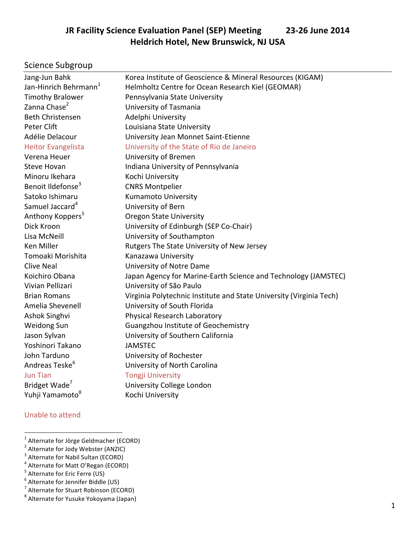## **JR Facility Science Evaluation Panel (SEP) Meeting 23-26 June 2014 Heldrich Hotel, New Brunswick, NJ USA**

## Science Subgroup

| Jang-Jun Bahk                     | Korea Institute of Geoscience & Mineral Resources (KIGAM)           |  |  |  |
|-----------------------------------|---------------------------------------------------------------------|--|--|--|
| Jan-Hinrich Behrmann <sup>1</sup> | Helmholtz Centre for Ocean Research Kiel (GEOMAR)                   |  |  |  |
| <b>Timothy Bralower</b>           | Pennsylvania State University                                       |  |  |  |
| Zanna Chase <sup>2</sup>          | University of Tasmania                                              |  |  |  |
| <b>Beth Christensen</b>           | Adelphi University                                                  |  |  |  |
| Peter Clift                       | Louisiana State University                                          |  |  |  |
| Adélie Delacour                   | University Jean Monnet Saint-Etienne                                |  |  |  |
| <b>Heitor Evangelista</b>         | University of the State of Rio de Janeiro                           |  |  |  |
| Verena Heuer                      | University of Bremen                                                |  |  |  |
| <b>Steve Hovan</b>                | Indiana University of Pennsylvania                                  |  |  |  |
| Minoru Ikehara                    | Kochi University                                                    |  |  |  |
| Benoit Ildefonse <sup>3</sup>     | <b>CNRS Montpelier</b>                                              |  |  |  |
| Satoko Ishimaru                   | <b>Kumamoto University</b>                                          |  |  |  |
| Samuel Jaccard <sup>4</sup>       | University of Bern                                                  |  |  |  |
| Anthony Koppers <sup>5</sup>      | <b>Oregon State University</b>                                      |  |  |  |
| Dick Kroon                        | University of Edinburgh (SEP Co-Chair)                              |  |  |  |
| Lisa McNeill                      | University of Southampton                                           |  |  |  |
| Ken Miller                        | Rutgers The State University of New Jersey                          |  |  |  |
| Tomoaki Morishita                 | Kanazawa University                                                 |  |  |  |
| <b>Clive Neal</b>                 | University of Notre Dame                                            |  |  |  |
| Koichiro Obana                    | Japan Agency for Marine-Earth Science and Technology (JAMSTEC)      |  |  |  |
| Vivian Pellizari                  | University of São Paulo                                             |  |  |  |
| <b>Brian Romans</b>               | Virginia Polytechnic Institute and State University (Virginia Tech) |  |  |  |
| Amelia Shevenell                  | University of South Florida                                         |  |  |  |
| Ashok Singhvi                     | Physical Research Laboratory                                        |  |  |  |
| <b>Weidong Sun</b>                | Guangzhou Institute of Geochemistry                                 |  |  |  |
| Jason Sylvan                      | University of Southern California                                   |  |  |  |
| Yoshinori Takano                  | <b>JAMSTEC</b>                                                      |  |  |  |
| John Tarduno                      | University of Rochester                                             |  |  |  |
| Andreas Teske <sup>b</sup>        | University of North Carolina                                        |  |  |  |
| <b>Jun Tian</b>                   | <b>Tongji University</b>                                            |  |  |  |
| Bridget Wade <sup>7</sup>         | University College London                                           |  |  |  |
| Yuhji Yamamoto <sup>8</sup>       | Kochi University                                                    |  |  |  |
|                                   |                                                                     |  |  |  |

#### Unable to attend

<sup>&</sup>lt;sup>1</sup> Alternate for Jörge Geldmacher (ECORD)<br>
<sup>2</sup> Alternate for Jody Webster (ANZIC)<br>
<sup>3</sup> Alternate for Nabil Sultan (ECORD)<br>
<sup>4</sup> Alternate for Matt O'Regan (ECORD)<br>
<sup>5</sup> Alternate for Eric Ferre (US)<br>
<sup>6</sup> Alternate for Jenn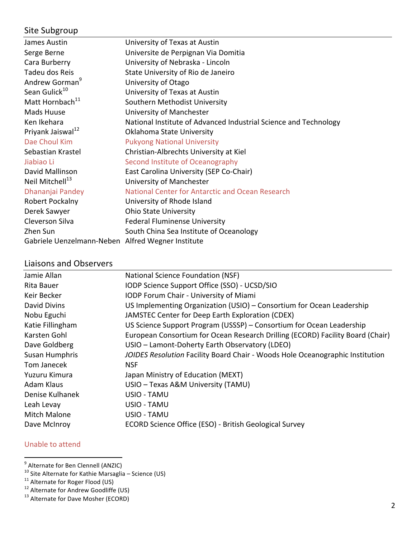# Site Subgroup

| James Austin                                      | University of Texas at Austin                                    |
|---------------------------------------------------|------------------------------------------------------------------|
| Serge Berne                                       | Universite de Perpignan Via Domitia                              |
| Cara Burberry                                     | University of Nebraska - Lincoln                                 |
| Tadeu dos Reis                                    | State University of Rio de Janeiro                               |
| Andrew Gorman <sup>9</sup>                        | University of Otago                                              |
| Sean Gulick <sup>10</sup>                         | University of Texas at Austin                                    |
| Matt Hornbach <sup>11</sup>                       | Southern Methodist University                                    |
| Mads Huuse                                        | University of Manchester                                         |
| Ken Ikehara                                       | National Institute of Advanced Industrial Science and Technology |
| Priyank Jaiswal <sup>12</sup>                     | Oklahoma State University                                        |
| Dae Choul Kim                                     | <b>Pukyong National University</b>                               |
| Sebastian Krastel                                 | Christian-Albrechts University at Kiel                           |
| Jiabiao Li                                        | Second Institute of Oceanography                                 |
| David Mallinson                                   | East Carolina University (SEP Co-Chair)                          |
| Neil Mitchell <sup>13</sup>                       | University of Manchester                                         |
| Dhananjai Pandey                                  | National Center for Antarctic and Ocean Research                 |
| Robert Pockalny                                   | University of Rhode Island                                       |
| Derek Sawyer                                      | <b>Ohio State University</b>                                     |
| Cleverson Silva                                   | <b>Federal Fluminense University</b>                             |
| Zhen Sun                                          | South China Sea Institute of Oceanology                          |
| Gabriele Uenzelmann-Neben Alfred Wegner Institute |                                                                  |

## Liaisons and Observers

| Jamie Allan      | National Science Foundation (NSF)                                              |
|------------------|--------------------------------------------------------------------------------|
| Rita Bauer       | IODP Science Support Office (SSO) - UCSD/SIO                                   |
| Keir Becker      | IODP Forum Chair - University of Miami                                         |
| David Divins     | US Implementing Organization (USIO) – Consortium for Ocean Leadership          |
| Nobu Eguchi      | JAMSTEC Center for Deep Earth Exploration (CDEX)                               |
| Katie Fillingham | US Science Support Program (USSSP) – Consortium for Ocean Leadership           |
| Karsten Gohl     | European Consortium for Ocean Research Drilling (ECORD) Facility Board (Chair) |
| Dave Goldberg    | USIO – Lamont-Doherty Earth Observatory (LDEO)                                 |
| Susan Humphris   | JOIDES Resolution Facility Board Chair - Woods Hole Oceanographic Institution  |
| Tom Janecek      | <b>NSF</b>                                                                     |
| Yuzuru Kimura    | Japan Ministry of Education (MEXT)                                             |
| Adam Klaus       | USIO - Texas A&M University (TAMU)                                             |
| Denise Kulhanek  | USIO - TAMU                                                                    |
| Leah Levay       | USIO - TAMU                                                                    |
| Mitch Malone     | USIO - TAMU                                                                    |
| Dave McInroy     | ECORD Science Office (ESO) - British Geological Survey                         |
|                  |                                                                                |

## Unable to attend

 <sup>9</sup> Alternate for Ben Clennell (ANZIC)

<sup>&</sup>lt;sup>10</sup> Site Alternate for Kathie Marsaglia – Science (US)<br><sup>11</sup> Alternate for Roger Flood (US)<br><sup>12</sup> Alternate for Andrew Goodliffe (US)<br><sup>13</sup> Alternate for Dave Mosher (ECORD)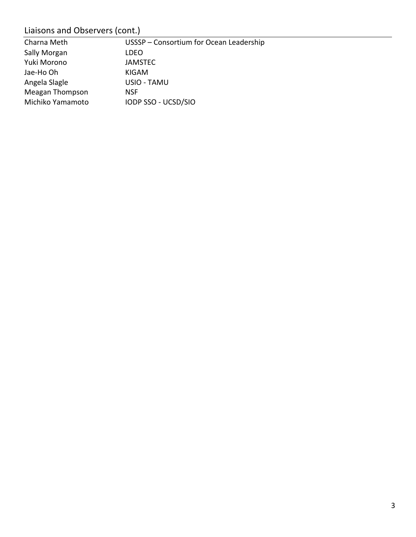# Liaisons and Observers (cont.)

| Charna Meth            | USSSP - Consortium for Ocean Leadership |
|------------------------|-----------------------------------------|
| Sally Morgan           | <b>LDEO</b>                             |
| Yuki Morono            | <b>JAMSTEC</b>                          |
| Jae-Ho Oh              | KIGAM                                   |
| Angela Slagle          | USIO - TAMU                             |
| <b>Meagan Thompson</b> | <b>NSF</b>                              |
| Michiko Yamamoto       | IODP SSO - UCSD/SIO                     |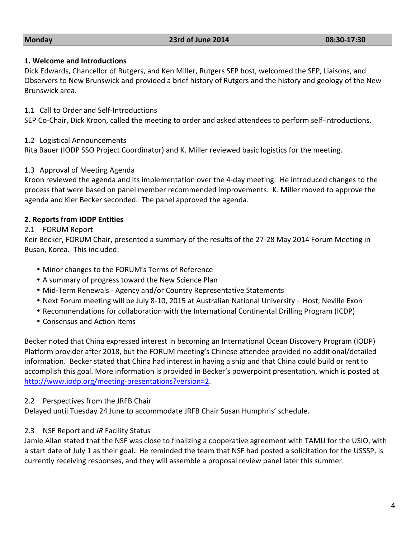#### **1. Welcome and Introductions**

Dick Edwards, Chancellor of Rutgers, and Ken Miller, Rutgers SEP host, welcomed the SEP, Liaisons, and Observers to New Brunswick and provided a brief history of Rutgers and the history and geology of the New Brunswick area.

1.1 Call to Order and Self-Introductions

SEP Co-Chair, Dick Kroon, called the meeting to order and asked attendees to perform self-introductions.

### 1.2 Logistical Announcements

Rita Bauer (IODP SSO Project Coordinator) and K. Miller reviewed basic logistics for the meeting.

### 1.3 Approval of Meeting Agenda

Kroon reviewed the agenda and its implementation over the 4-day meeting. He introduced changes to the process that were based on panel member recommended improvements. K. Miller moved to approve the agenda and Kier Becker seconded. The panel approved the agenda.

## **2. Reports from IODP Entities**

### 2.1 FORUM Report

Keir Becker, FORUM Chair, presented a summary of the results of the 27-28 May 2014 Forum Meeting in Busan, Korea. This included:

- Minor changes to the FORUM's Terms of Reference
- A summary of progress toward the New Science Plan
- Mid-Term Renewals Agency and/or Country Representative Statements
- Next Forum meeting will be July 8-10, 2015 at Australian National University Host, Neville Exon
- Recommendations for collaboration with the International Continental Drilling Program (ICDP)
- Consensus and Action Items

Becker noted that China expressed interest in becoming an International Ocean Discovery Program (IODP) Platform provider after 2018, but the FORUM meeting's Chinese attendee provided no additional/detailed information. Becker stated that China had interest in having a ship and that China could build or rent to accomplish this goal. More information is provided in Becker's powerpoint presentation, which is posted at http://www.iodp.org/meeting-presentations?version=2.

### 2.2 Perspectives from the JRFB Chair

Delayed until Tuesday 24 June to accommodate JRFB Chair Susan Humphris' schedule.

### 2.3 NSF Report and *JR* Facility Status

Jamie Allan stated that the NSF was close to finalizing a cooperative agreement with TAMU for the USIO, with a start date of July 1 as their goal. He reminded the team that NSF had posted a solicitation for the USSSP, is currently receiving responses, and they will assemble a proposal review panel later this summer.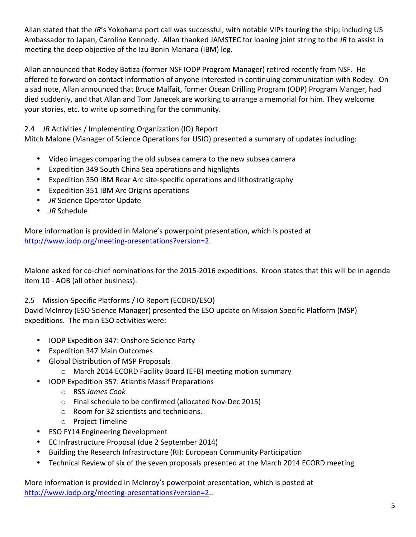Allan stated that the JR's Yokohama port call was successful, with notable VIPs touring the ship; including US Ambassador to Japan, Caroline Kennedy. Allan thanked JAMSTEC for loaning joint string to the JR to assist in meeting the deep objective of the Izu Bonin Mariana (IBM) leg.

Allan announced that Rodey Batiza (former NSF IODP Program Manager) retired recently from NSF. He offered to forward on contact information of anyone interested in continuing communication with Rodey. On a sad note, Allan announced that Bruce Malfait, former Ocean Drilling Program (ODP) Program Manger, had died suddenly, and that Allan and Tom Janecek are working to arrange a memorial for him. They welcome your stories, etc. to write up something for the community.

## 2.4 *JR* Activities / Implementing Organization (IO) Report

Mitch Malone (Manager of Science Operations for USIO) presented a summary of updates including:

- Video images comparing the old subsea camera to the new subsea camera
- Expedition 349 South China Sea operations and highlights
- Expedition 350 IBM Rear Arc site-specific operations and lithostratigraphy
- Expedition 351 IBM Arc Origins operations
- *JR* Science Operator Update
- *JR* Schedule

More information is provided in Malone's powerpoint presentation, which is posted at http://www.iodp.org/meeting-presentations?version=2.

Malone asked for co-chief nominations for the 2015-2016 expeditions. Kroon states that this will be in agenda item 10 - AOB (all other business).

### 2.5 Mission-Specific Platforms / IO Report (ECORD/ESO)

David McInroy (ESO Science Manager) presented the ESO update on Mission Specific Platform (MSP) expeditions. The main ESO activities were:

- IODP Expedition 347: Onshore Science Party
- Expedition 347 Main Outcomes
- Global Distribution of MSP Proposals
	- o March 2014 ECORD Facility Board (EFB) meeting motion summary
- IODP Expedition 357: Atlantis Massif Preparations
	- o RSS *James Cook*
	- o Final schedule to be confirmed (allocated Nov-Dec 2015)
	- $\circ$  Room for 32 scientists and technicians.
	- o Project Timeline
- ESO FY14 Engineering Development
- EC Infrastructure Proposal (due 2 September 2014)
- Building the Research Infrastructure (RI): European Community Participation
- Technical Review of six of the seven proposals presented at the March 2014 ECORD meeting

More information is provided in McInroy's powerpoint presentation, which is posted at http://www.iodp.org/meeting-presentations?version=2..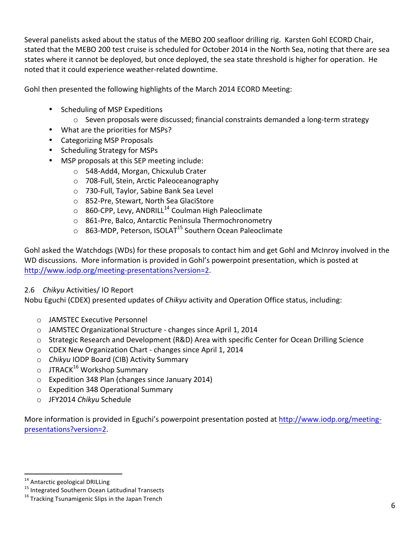Several panelists asked about the status of the MEBO 200 seafloor drilling rig. Karsten Gohl ECORD Chair, stated that the MEBO 200 test cruise is scheduled for October 2014 in the North Sea, noting that there are sea states where it cannot be deployed, but once deployed, the sea state threshold is higher for operation. He noted that it could experience weather-related downtime.

Gohl then presented the following highlights of the March 2014 ECORD Meeting:

- Scheduling of MSP Expeditions
	- $\circ$  Seven proposals were discussed; financial constraints demanded a long-term strategy
- What are the priorities for MSPs?
- Categorizing MSP Proposals
- Scheduling Strategy for MSPs
- MSP proposals at this SEP meeting include:
	- o 548-Add4, Morgan, Chicxulub Crater
	- o 708-Full, Stein, Arctic Paleoceanography
	- o 730-Full, Taylor, Sabine Bank Sea Level
	- o 852-Pre, Stewart, North Sea GlaciStore
	- $\circ$  860-CPP, Levy, ANDRILL<sup>14</sup> Coulman High Paleoclimate
	- o 861-Pre, Balco, Antarctic Peninsula Thermochronometry
	- $\circ$  863-MDP, Peterson, ISOLAT<sup>15</sup> Southern Ocean Paleoclimate

Gohl asked the Watchdogs (WDs) for these proposals to contact him and get Gohl and McInroy involved in the WD discussions. More information is provided in Gohl's powerpoint presentation, which is posted at http://www.iodp.org/meeting-presentations?version=2.

### 2.6 *Chikyu* Activities/ IO Report

Nobu Eguchi (CDEX) presented updates of *Chikyu* activity and Operation Office status, including:

- o JAMSTEC Executive Personnel
- o JAMSTEC Organizational Structure changes since April 1, 2014
- $\circ$  Strategic Research and Development (R&D) Area with specific Center for Ocean Drilling Science
- o CDEX New Organization Chart changes since April 1, 2014
- o *Chikyu* IODP Board (CIB) Activity Summary
- $\circ$  JTRACK<sup>16</sup> Workshop Summary
- $\circ$  Expedition 348 Plan (changes since January 2014)
- $\circ$  Expedition 348 Operational Summary
- o JFY2014 *Chikyu* Schedule

More information is provided in Eguchi's powerpoint presentation posted at http://www.iodp.org/meetingpresentations?version=2.

<sup>&</sup>lt;sup>14</sup> Antarctic geological DRILLing<br><sup>15</sup> Integrated Southern Ocean Latitudinal Transects<br><sup>16</sup> Tracking Tsunamigenic Slips in the Japan Trench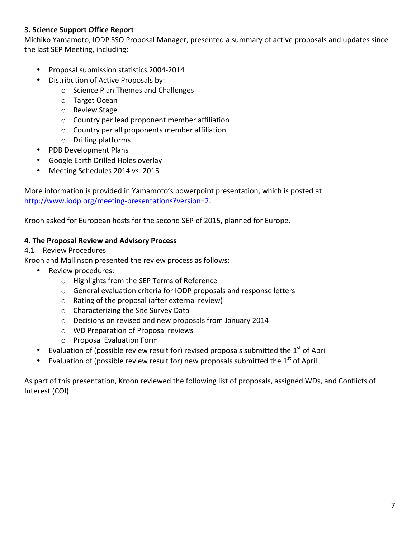## **3. Science Support Office Report**

Michiko Yamamoto, IODP SSO Proposal Manager, presented a summary of active proposals and updates since the last SEP Meeting, including:

- Proposal submission statistics 2004-2014
- Distribution of Active Proposals by:
	- o Science Plan Themes and Challenges
	- o Target Ocean
	- o Review Stage
	- o Country per lead proponent member affiliation
	- $\circ$  Country per all proponents member affiliation
	- $\circ$  Drilling platforms
- PDB Development Plans
- Google Earth Drilled Holes overlay
- Meeting Schedules 2014 vs. 2015

More information is provided in Yamamoto's powerpoint presentation, which is posted at http://www.iodp.org/meeting-presentations?version=2.

Kroon asked for European hosts for the second SEP of 2015, planned for Europe.

#### **4. The Proposal Review and Advisory Process**

#### 4.1 Review Procedures

Kroon and Mallinson presented the review process as follows:

- Review procedures:
	- $\circ$  Highlights from the SEP Terms of Reference
	- $\circ$  General evaluation criteria for IODP proposals and response letters
	- $\circ$  Rating of the proposal (after external review)
	- $\circ$  Characterizing the Site Survey Data
	- $\circ$  Decisions on revised and new proposals from January 2014
	- o WD Preparation of Proposal reviews
	- o Proposal Evaluation Form
- Evaluation of (possible review result for) revised proposals submitted the  $1<sup>st</sup>$  of April
- Evaluation of (possible review result for) new proposals submitted the  $1<sup>st</sup>$  of April

As part of this presentation, Kroon reviewed the following list of proposals, assigned WDs, and Conflicts of Interest (COI)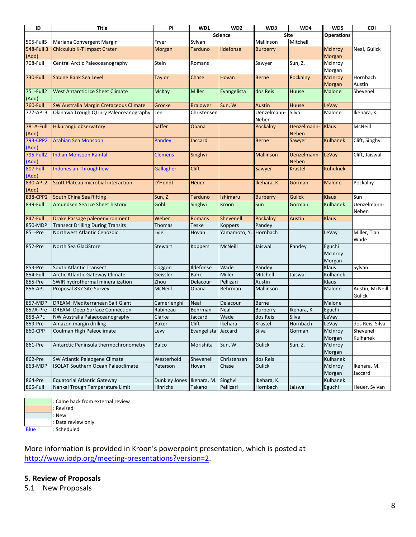| ID               | <b>Title</b>                              | PI                   | WD1                 | WD <sub>2</sub> | WD3              | WD4               | WD5               | COI             |
|------------------|-------------------------------------------|----------------------|---------------------|-----------------|------------------|-------------------|-------------------|-----------------|
|                  |                                           |                      |                     | <b>Science</b>  |                  | <b>Site</b>       | <b>Operations</b> |                 |
| 505-Full5        | Mariana Convergent Margin                 | Fryer                | Sylvan              |                 | Mallinson        | Mitchell          |                   |                 |
| 548-Full 3       | Chicxulub K-T Impact Crater               | Morgan               | <b>Tarduno</b>      | Ildefonse       | <b>Burberry</b>  |                   | <b>McInroy</b>    | Neal, Gulick    |
| (Add)            |                                           |                      |                     |                 |                  |                   | Morgan            |                 |
| 708-Full         | Central Arctic Paleoceanography           | Stein                | Romans              |                 | Sawyer           | Sun, Z.           | McInroy           |                 |
|                  |                                           |                      |                     |                 |                  |                   | Morgan            |                 |
| 730-Full         | Sabine Bank Sea Level                     | <b>Taylor</b>        | Chase               | Hovan           | <b>Berne</b>     | Pockalny          | <b>McInroy</b>    | Hornbach        |
|                  |                                           |                      |                     |                 |                  |                   | Morgan            | Austin          |
| 751-Full2        | <b>West Antarctic Ice Sheet Climate</b>   | <b>McKay</b>         | <b>Miller</b>       | Evangelista     | dos Reis         | Huuse             | <b>Malone</b>     | Shevenell       |
| (Add)            |                                           |                      |                     |                 |                  |                   |                   |                 |
| 760-Full         | SW Australia Margin Cretaceous Climate    | Gröcke               | <b>Bralower</b>     | Sun, W.         | <b>Austin</b>    | Huuse             | LeVay             |                 |
| 777-APL3         | Okinawa Trough Qtrnry Paleoceanography    | Lee                  | Christensen         |                 | Uenzelmann-      | Silva             | Malone            | Ikehara, K.     |
|                  |                                           |                      |                     |                 | Neben            |                   |                   |                 |
| 781A-Full        | Hikurangi: observatory                    | Saffer               | Obana               |                 | Pockalny         | Uenzelmann-       | <b>Klaus</b>      | McNeill         |
| (Add)            |                                           |                      |                     |                 |                  | Neben             |                   |                 |
| 793-CPP2         | <b>Arabian Sea Monsoon</b>                | Pandey               | Jaccard             |                 | <b>Berne</b>     | Sawyer            | <b>Kulhanek</b>   | Clift, Singhvi  |
| (Add)            |                                           |                      |                     |                 |                  |                   |                   |                 |
| <b>795-Full2</b> | <b>Indian Monsoon Rainfall</b>            | <b>Clemens</b>       | Singhvi             |                 | <b>Mallinson</b> | <b>Uenzelmann</b> | LeVay             | Clift, Jaiswal  |
| (Add)            |                                           |                      |                     |                 |                  | <b>Neben</b>      |                   |                 |
| 807-Full         | <b>Indonesian Throughflow</b>             | Gallagher            | <b>Clift</b>        |                 | Sawyer           | <b>Krastel</b>    | <b>Kuhulnek</b>   |                 |
| (Add)            |                                           |                      |                     |                 |                  |                   |                   |                 |
| 830-APL2         | Scott Plateau microbial interaction       | <b>D'Hondt</b>       | Heuer               |                 | Ikehara, K.      | Gorman            | <b>Malone</b>     | Pockalny        |
| (Add)            |                                           |                      |                     |                 |                  |                   |                   |                 |
| 838-CPP2         | South China Sea Rifting                   | Sun, Z.              | Tarduno             | Ishimaru        | <b>Burberry</b>  | <b>Gulick</b>     | <b>Klaus</b>      | Sun             |
| 839-Full         | Amundsen Sea Ice Sheet history            | Gohl                 | Singhvi             | Kroon           | Sun              | Gorman            | <b>Kulhanek</b>   | Uenzelmann-     |
|                  |                                           |                      |                     |                 |                  |                   |                   | Neben           |
| 847-Full         | Drake Passage paleoenvironment            | Weber                | <b>Romans</b>       | Shevenell       | Pockalny         | <b>Austin</b>     | <b>Klaus</b>      |                 |
| 850-MDP          | <b>Transect Drilling During Transits</b>  | Thomas               | <b>Teske</b>        | Koppers         | Pandey           |                   |                   |                 |
| 851-Pre          | Northwest Atlantic Cenozoic               | Lyle                 | Hovan               | Yamamoto, Y.    | Hornbach         |                   | LeVay             | Miller, Tian    |
|                  |                                           |                      |                     |                 |                  |                   |                   | Wade            |
| 852-Pre          | North Sea GlaciStore                      | Stewart              | <b>Koppers</b>      | McNeill         | Jaiswal          | Pandey            | Eguchi            |                 |
|                  |                                           |                      |                     |                 |                  |                   | McInroy           |                 |
|                  |                                           |                      |                     |                 |                  |                   | Morgan            |                 |
| 853-Pre          | <b>South Atlantic Transect</b>            | Coggon               | Ildefonse           | Wade            | Pandey           |                   | Klaus             | Sylvan          |
| 854-Full         | Arctic Atlantic Gateway Climate           | Geissler             | <b>Bahk</b>         | Miller          | Mitchell         | Jaiswal           | Kulhanek          |                 |
| 855-Pre          | SWIR hydrothermal mineralization          | Zhou                 | Delacour            | Pellizari       | Austin           |                   | Klaus             |                 |
| 856-APL          | Proposal 837 Site Survey                  | <b>McNeill</b>       | Obana               | Behrman         | Mallinson        |                   | Malone            | Austin, McNeill |
|                  |                                           |                      |                     |                 |                  |                   |                   | Gulick          |
| 857-MDP          | DREAM: Mediterranean Salt Giant           | Camerlenghi          | <b>Neal</b>         | Delacour        | <b>Berne</b>     |                   | Malone            |                 |
| 857A-Pre         | <b>DREAM: Deep-Surface Connection</b>     | Rabineau             | Behrman             | <b>Neal</b>     | Burberry         | Ikehara, K.       | Eguchi            |                 |
| 858-APL          | NW Australia Palaeoceanography            | Clarke               | Jaccard             | Wade            | dos Reis         | Silva             | LeVay             |                 |
| 859-Pre          | Amazon margin drilling                    | <b>Baker</b>         | Clift               | Ikehara         | Krastel          | Hornbach          | LeVay             | dos Reis, Silva |
| 860-CPP          | Coulman High Paleoclimate                 | Levy                 | Evangelista Jaccard |                 | Silva            | Gorman            | McInroy           | Shevenell       |
|                  |                                           |                      |                     |                 |                  |                   | Morgan            | Kulhanek        |
| 861-Pre          | Antarctic Peninsula thermochronometry     | <b>Balco</b>         | Morishita           | Sun, W.         | Gulick           | Sun, Z.           | McInroy           |                 |
|                  |                                           |                      |                     |                 |                  |                   | Morgan            |                 |
| 862-Pre          | SW Atlantic Paleogene Climate             | Westerhold           | Shevenell           | Christensen     | dos Reis         |                   | Kulhanek          |                 |
| 863-MDP          | <b>ISOLAT Southern Ocean Paleoclimate</b> | Peterson             | Hovan               | Chase           | Gulick           |                   | McInroy           | Ikehara. M.     |
|                  |                                           |                      |                     |                 |                  |                   | Morgan            | Jaccard         |
| 864-Pre          | <b>Equatorial Atlantic Gateway</b>        | <b>Dunkley Jones</b> | Ikehara, M.         | Singhvi         | Ikehara, K.      |                   | Kulhanek          |                 |
| 865-Full         | Nankai Trough Temperature Limit           | <b>Hinrichs</b>      | Takano              | Pellizari       | Hornbach         | Jaiswal           | Eguchi            | Heuer, Sylvan   |

: Came back from external review : Revised : New : Data review only Blue : Scheduled

More information is provided in Kroon's powerpoint presentation, which is posted at http://www.iodp.org/meeting-presentations?version=2.

## **5. Review of Proposals**

5.1 New Proposals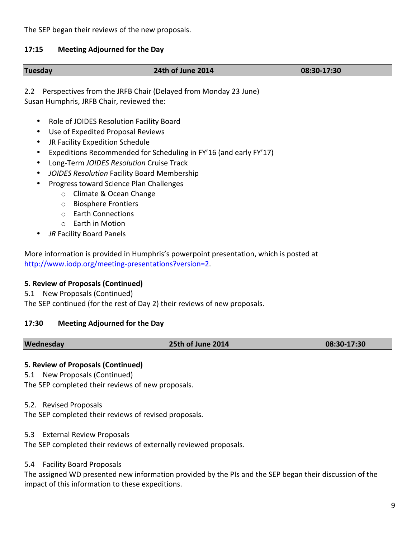The SEP began their reviews of the new proposals.

#### **17:15 Meeting Adjourned for the Day**

| <b>Tuesday</b>                                                                                                                          | 24th of June 2014                                              | 08:30-17:30 |
|-----------------------------------------------------------------------------------------------------------------------------------------|----------------------------------------------------------------|-------------|
| $2.2^{\circ}$<br>Susan Humphris, JRFB Chair, reviewed the:                                                                              | Perspectives from the JRFB Chair (Delayed from Monday 23 June) |             |
| Role of JOIDES Resolution Facility Board<br>٠<br>Use of Expedited Proposal Reviews<br>$\bullet$<br>JR Facility Expedition Schedule<br>٠ |                                                                |             |

- Expeditions Recommended for Scheduling in FY'16 (and early FY'17)
- Long-Term *JOIDES Resolution* Cruise Track
- *JOIDES Resolution* Facility Board Membership
- Progress toward Science Plan Challenges
	- o Climate & Ocean Change
	- o Biosphere Frontiers
	- o Earth Connections
	- $\circ$  Earth in Motion
- **JR Facility Board Panels**

More information is provided in Humphris's powerpoint presentation, which is posted at http://www.iodp.org/meeting-presentations?version=2.

#### **5. Review of Proposals (Continued)**

5.1 New Proposals (Continued)

The SEP continued (for the rest of Day 2) their reviews of new proposals.

#### **17:30 Meeting Adjourned for the Day**

#### **Wednesday 25th of June 2014 08:30-17:30**

#### **5. Review of Proposals (Continued)**

5.1 New Proposals (Continued)

The SEP completed their reviews of new proposals.

#### 5.2. Revised Proposals

The SEP completed their reviews of revised proposals.

5.3 External Review Proposals

The SEP completed their reviews of externally reviewed proposals.

5.4 Facility Board Proposals

The assigned WD presented new information provided by the PIs and the SEP began their discussion of the impact of this information to these expeditions.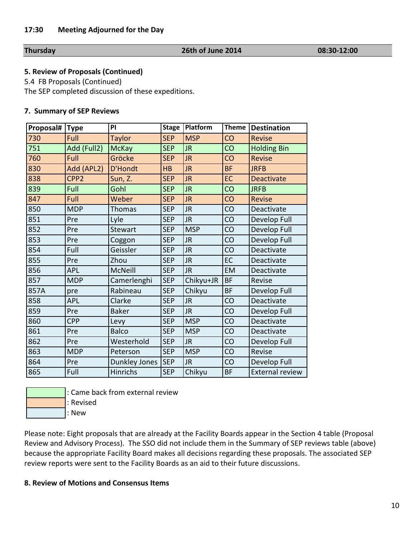#### **Thursday 26th of June 2014 08:30-12:00**

#### **5. Review of Proposals (Continued)**

5.4 FB Proposals (Continued)

The SEP completed discussion of these expeditions.

#### **7. Summary of SEP Reviews**

| Proposal# | Type             | PI                   | <b>Stage</b> | Platform   | <b>Theme</b> | <b>Destination</b>     |
|-----------|------------------|----------------------|--------------|------------|--------------|------------------------|
| 730       | Full             | <b>Taylor</b>        | <b>SEP</b>   | <b>MSP</b> | CO           | <b>Revise</b>          |
| 751       | Add (Full2)      | <b>McKay</b>         | <b>SEP</b>   | <b>JR</b>  | CO           | <b>Holding Bin</b>     |
| 760       | Full             | Gröcke               | <b>SEP</b>   | <b>JR</b>  | CO           | <b>Revise</b>          |
| 830       | Add (APL2)       | <b>D'Hondt</b>       | HB           | <b>JR</b>  | <b>BF</b>    | <b>JRFB</b>            |
| 838       | CPP <sub>2</sub> | Sun, Z.              | <b>SEP</b>   | <b>JR</b>  | EC           | <b>Deactivate</b>      |
| 839       | Full             | Gohl                 | <b>SEP</b>   | <b>JR</b>  | CO           | <b>JRFB</b>            |
| 847       | Full             | Weber                | <b>SEP</b>   | <b>JR</b>  | CO           | <b>Revise</b>          |
| 850       | <b>MDP</b>       | Thomas               | <b>SEP</b>   | <b>JR</b>  | CO           | Deactivate             |
| 851       | Pre              | Lyle                 | <b>SEP</b>   | <b>JR</b>  | CO           | Develop Full           |
| 852       | Pre              | Stewart              | <b>SEP</b>   | <b>MSP</b> | CO           | Develop Full           |
| 853       | Pre              | Coggon               | <b>SEP</b>   | JR         | CO           | Develop Full           |
| 854       | Full             | Geissler             | <b>SEP</b>   | <b>JR</b>  | CO           | Deactivate             |
| 855       | Pre              | Zhou                 | <b>SEP</b>   | JR         | EC           | Deactivate             |
| 856       | <b>APL</b>       | McNeill              | <b>SEP</b>   | <b>JR</b>  | EM           | Deactivate             |
| 857       | <b>MDP</b>       | Camerlenghi          | <b>SEP</b>   | Chikyu+JR  | <b>BF</b>    | Revise                 |
| 857A      | pre              | Rabineau             | <b>SEP</b>   | Chikyu     | <b>BF</b>    | Develop Full           |
| 858       | <b>APL</b>       | Clarke               | <b>SEP</b>   | <b>JR</b>  | CO           | Deactivate             |
| 859       | Pre              | <b>Baker</b>         | <b>SEP</b>   | <b>JR</b>  | CO           | Develop Full           |
| 860       | <b>CPP</b>       | Levy                 | <b>SEP</b>   | <b>MSP</b> | CO           | Deactivate             |
| 861       | Pre              | <b>Balco</b>         | <b>SEP</b>   | <b>MSP</b> | CO           | Deactivate             |
| 862       | Pre              | Westerhold           | <b>SEP</b>   | JR.        | CO           | Develop Full           |
| 863       | <b>MDP</b>       | Peterson             | <b>SEP</b>   | <b>MSP</b> | CO           | Revise                 |
| 864       | Pre              | <b>Dunkley Jones</b> | <b>SEP</b>   | JR.        | CO           | Develop Full           |
| 865       | Full             | Hinrichs             | <b>SEP</b>   | Chikyu     | <b>BF</b>    | <b>External review</b> |



: Came back from external review

:;Revised

:;New

Please note: Eight proposals that are already at the Facility Boards appear in the Section 4 table (Proposal Review and Advisory Process). The SSO did not include them in the Summary of SEP reviews table (above) because the appropriate Facility Board makes all decisions regarding these proposals. The associated SEP review reports were sent to the Facility Boards as an aid to their future discussions.

#### **8. Review of Motions and Consensus Items**